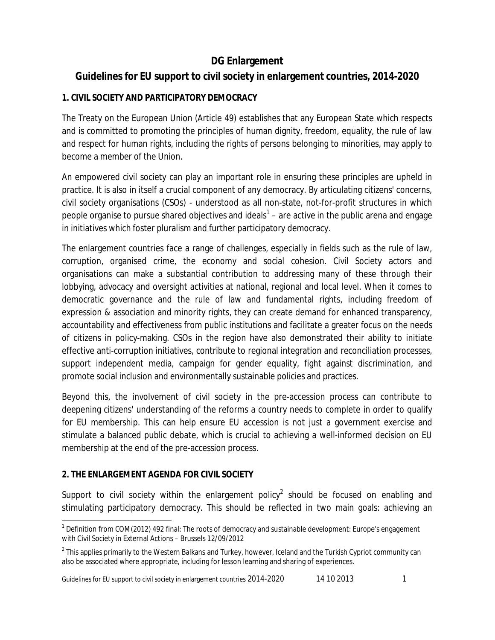## **DG Enlargement**

# **Guidelines for EU support to civil society in enlargement countries, 2014-2020**

## **1. CIVIL SOCIETY AND PARTICIPATORY DEMOCRACY**

The Treaty on the European Union (Article 49) establishes that any European State which respects and is committed to promoting the principles of human dignity, freedom, equality, the rule of law and respect for human rights, including the rights of persons belonging to minorities, may apply to become a member of the Union.

An empowered civil society can play an important role in ensuring these principles are upheld in practice. It is also in itself a crucial component of any democracy. By articulating citizens' concerns, civil society organisations (CSOs) - understood as all non-state, not-for-profit structures in which people organise to pursue shared objectives and ideals<sup>1</sup> – are active in the public arena and engage in initiatives which foster pluralism and further participatory democracy.

The enlargement countries face a range of challenges, especially in fields such as the rule of law, corruption, organised crime, the economy and social cohesion. Civil Society actors and organisations can make a substantial contribution to addressing many of these through their lobbying, advocacy and oversight activities at national, regional and local level. When it comes to democratic governance and the rule of law and fundamental rights, including freedom of expression & association and minority rights, they can create demand for enhanced transparency, accountability and effectiveness from public institutions and facilitate a greater focus on the needs of citizens in policy-making. CSOs in the region have also demonstrated their ability to initiate effective anti-corruption initiatives, contribute to regional integration and reconciliation processes, support independent media, campaign for gender equality, fight against discrimination, and promote social inclusion and environmentally sustainable policies and practices.

Beyond this, the involvement of civil society in the pre-accession process can contribute to deepening citizens' understanding of the reforms a country needs to complete in order to qualify for EU membership. This can help ensure EU accession is not just a government exercise and stimulate a balanced public debate, which is crucial to achieving a well-informed decision on EU membership at the end of the pre-accession process.

## **2. THE ENLARGEMENT AGENDA FOR CIVIL SOCIETY**

Support to civil society within the enlargement policy<sup>2</sup> should be focused on enabling and stimulating participatory democracy. This should be reflected in two main goals: achieving an

 $\overline{\phantom{a}}$  $1$  Definition from COM(2012) 492 final: The roots of democracy and sustainable development: Europe's engagement with Civil Society in External Actions – Brussels 12/09/2012

 $2$  This applies primarily to the Western Balkans and Turkey, however, Iceland and the Turkish Cypriot community can also be associated where appropriate, including for lesson learning and sharing of experiences.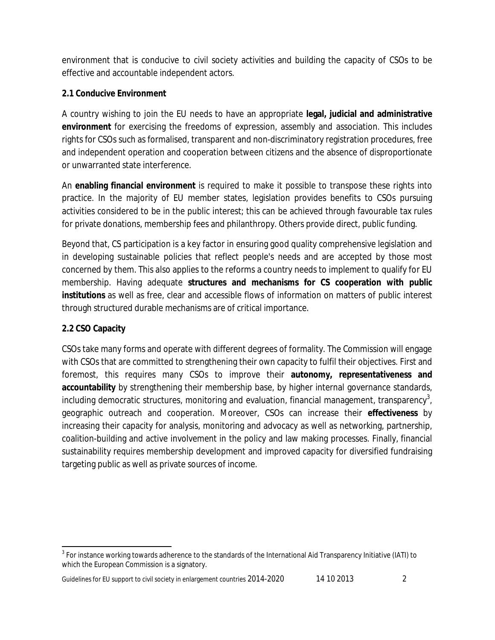environment that is conducive to civil society activities and building the capacity of CSOs to be effective and accountable independent actors.

### **2.1 Conducive Environment**

A country wishing to join the EU needs to have an appropriate **legal, judicial and administrative environment** for exercising the freedoms of expression, assembly and association. This includes rights for CSOs such as formalised, transparent and non-discriminatory registration procedures, free and independent operation and cooperation between citizens and the absence of disproportionate or unwarranted state interference.

An **enabling financial environment** is required to make it possible to transpose these rights into practice. In the majority of EU member states, legislation provides benefits to CSOs pursuing activities considered to be in the public interest; this can be achieved through favourable tax rules for private donations, membership fees and philanthropy. Others provide direct, public funding.

Beyond that, CS participation is a key factor in ensuring good quality comprehensive legislation and in developing sustainable policies that reflect people's needs and are accepted by those most concerned by them. This also applies to the reforms a country needs to implement to qualify for EU membership. Having adequate **structures and mechanisms for CS cooperation with public institutions** as well as free, clear and accessible flows of information on matters of public interest through structured durable mechanisms are of critical importance.

## **2.2 CSO Capacity**

 $\overline{a}$ 

CSOs take many forms and operate with different degrees of formality. The Commission will engage with CSOs that are committed to strengthening their own capacity to fulfil their objectives. First and foremost, this requires many CSOs to improve their **autonomy, representativeness and accountability** by strengthening their membership base, by higher internal governance standards, including democratic structures, monitoring and evaluation, financial management, transparency<sup>3</sup>, geographic outreach and cooperation. Moreover, CSOs can increase their **effectiveness** by increasing their capacity for analysis, monitoring and advocacy as well as networking, partnership, coalition-building and active involvement in the policy and law making processes. Finally, financial sustainability requires membership development and improved capacity for diversified fundraising targeting public as well as private sources of income.

<sup>&</sup>lt;sup>3</sup> For instance working towards adherence to the standards of the International Aid Transparency Initiative (IATI) to which the European Commission is a signatory.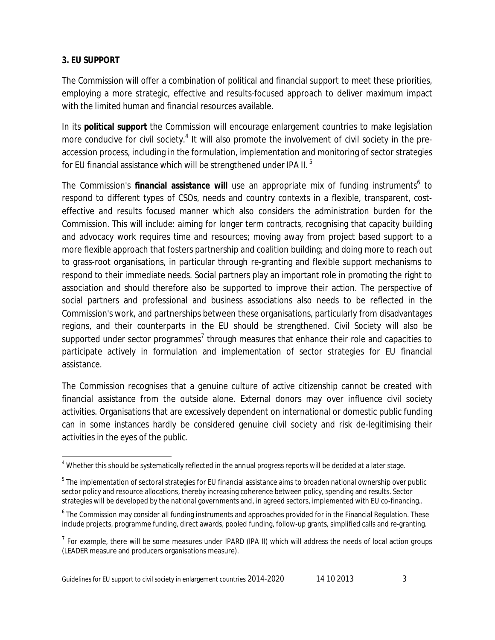#### **3. EU SUPPORT**

 $\overline{a}$ 

The Commission will offer a combination of political and financial support to meet these priorities, employing a more strategic, effective and results-focused approach to deliver maximum impact with the limited human and financial resources available.

In its **political support** the Commission will encourage enlargement countries to make legislation more conducive for civil society.<sup>4</sup> It will also promote the involvement of civil society in the preaccession process, including in the formulation, implementation and monitoring of sector strategies for EU financial assistance which will be strengthened under IPA II.<sup>5</sup>

The Commission's financial assistance will use an appropriate mix of funding instruments<sup>6</sup> to respond to different types of CSOs, needs and country contexts in a flexible, transparent, costeffective and results focused manner which also considers the administration burden for the Commission. This will include: aiming for longer term contracts, recognising that capacity building and advocacy work requires time and resources; moving away from project based support to a more flexible approach that fosters partnership and coalition building; and doing more to reach out to grass-root organisations, in particular through re-granting and flexible support mechanisms to respond to their immediate needs. Social partners play an important role in promoting the right to association and should therefore also be supported to improve their action. The perspective of social partners and professional and business associations also needs to be reflected in the Commission's work, and partnerships between these organisations, particularly from disadvantages regions, and their counterparts in the EU should be strengthened. Civil Society will also be supported under sector programmes<sup>7</sup> through measures that enhance their role and capacities to participate actively in formulation and implementation of sector strategies for EU financial assistance.

The Commission recognises that a genuine culture of active citizenship cannot be created with financial assistance from the outside alone. External donors may over influence civil society activities. Organisations that are excessively dependent on international or domestic public funding can in some instances hardly be considered genuine civil society and risk de-legitimising their activities in the eyes of the public.

<sup>4</sup> Whether this should be systematically reflected in the annual progress reports will be decided at a later stage.

<sup>&</sup>lt;sup>5</sup> The implementation of sectoral strategies for EU financial assistance aims to broaden national ownership over public sector policy and resource allocations, thereby increasing coherence between policy, spending and results. Sector strategies will be developed by the national governments and, in agreed sectors, implemented with EU co-financing..

<sup>&</sup>lt;sup>6</sup> The Commission may consider all funding instruments and approaches provided for in the Financial Regulation. These include projects, programme funding, direct awards, pooled funding, follow-up grants, simplified calls and re-granting.

 $<sup>7</sup>$  For example, there will be some measures under IPARD (IPA II) which will address the needs of local action groups</sup> (LEADER measure and producers organisations measure).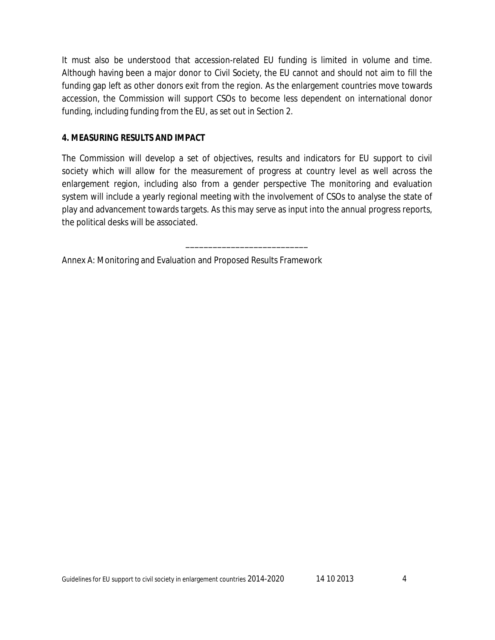It must also be understood that accession-related EU funding is limited in volume and time. Although having been a major donor to Civil Society, the EU cannot and should not aim to fill the funding gap left as other donors exit from the region. As the enlargement countries move towards accession, the Commission will support CSOs to become less dependent on international donor funding, including funding from the EU, as set out in Section 2.

#### **4. MEASURING RESULTS AND IMPACT**

The Commission will develop a set of objectives, results and indicators for EU support to civil society which will allow for the measurement of progress at country level as well across the enlargement region, including also from a gender perspective The monitoring and evaluation system will include a yearly regional meeting with the involvement of CSOs to analyse the state of play and advancement towards targets. As this may serve as input into the annual progress reports, the political desks will be associated.

\_\_\_\_\_\_\_\_\_\_\_\_\_\_\_\_\_\_\_\_\_\_\_\_\_\_\_

Annex A: Monitoring and Evaluation and Proposed Results Framework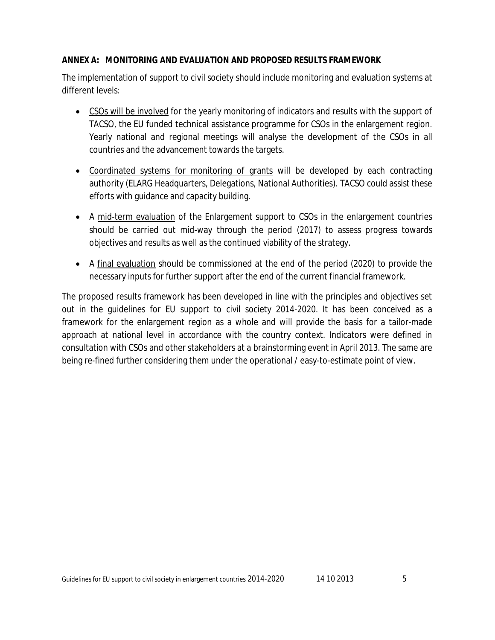#### **ANNEX A: MONITORING AND EVALUATION AND PROPOSED RESULTS FRAMEWORK**

The implementation of support to civil society should include monitoring and evaluation systems at different levels:

- CSOs will be involved for the yearly monitoring of indicators and results with the support of TACSO, the EU funded technical assistance programme for CSOs in the enlargement region. Yearly national and regional meetings will analyse the development of the CSOs in all countries and the advancement towards the targets.
- Coordinated systems for monitoring of grants will be developed by each contracting authority (ELARG Headquarters, Delegations, National Authorities). TACSO could assist these efforts with guidance and capacity building.
- A mid-term evaluation of the Enlargement support to CSOs in the enlargement countries should be carried out mid-way through the period (2017) to assess progress towards objectives and results as well as the continued viability of the strategy.
- A final evaluation should be commissioned at the end of the period (2020) to provide the necessary inputs for further support after the end of the current financial framework.

The proposed results framework has been developed in line with the principles and objectives set out in the guidelines for EU support to civil society 2014-2020. It has been conceived as a framework for the enlargement region as a whole and will provide the basis for a tailor-made approach at national level in accordance with the country context. Indicators were defined in consultation with CSOs and other stakeholders at a brainstorming event in April 2013. The same are being re-fined further considering them under the operational / easy-to-estimate point of view.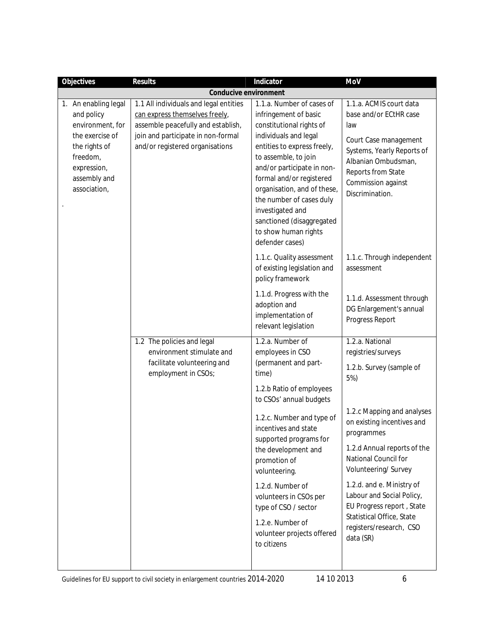| Objectives                                                                                                                                            | Results                                                                                                                                                                                 | Indicator                                                                                                                                                                                                                                                                                                                                                                                                  | MoV                                                                                                                                                                                                                                                                                                                                                                                          |
|-------------------------------------------------------------------------------------------------------------------------------------------------------|-----------------------------------------------------------------------------------------------------------------------------------------------------------------------------------------|------------------------------------------------------------------------------------------------------------------------------------------------------------------------------------------------------------------------------------------------------------------------------------------------------------------------------------------------------------------------------------------------------------|----------------------------------------------------------------------------------------------------------------------------------------------------------------------------------------------------------------------------------------------------------------------------------------------------------------------------------------------------------------------------------------------|
|                                                                                                                                                       | Conducive environment                                                                                                                                                                   |                                                                                                                                                                                                                                                                                                                                                                                                            |                                                                                                                                                                                                                                                                                                                                                                                              |
| 1. An enabling legal<br>and policy<br>environment, for<br>the exercise of<br>the rights of<br>freedom,<br>expression,<br>assembly and<br>association, | 1.1 All individuals and legal entities<br>can express themselves freely,<br>assemble peacefully and establish,<br>join and participate in non-formal<br>and/or registered organisations | 1.1.a. Number of cases of<br>infringement of basic<br>constitutional rights of<br>individuals and legal<br>entities to express freely,<br>to assemble, to join<br>and/or participate in non-<br>formal and/or registered<br>organisation, and of these,<br>the number of cases duly<br>investigated and<br>sanctioned (disaggregated<br>to show human rights                                               | 1.1.a. ACMIS court data<br>base and/or ECtHR case<br>law<br>Court Case management<br>Systems, Yearly Reports of<br>Albanian Ombudsman,<br>Reports from State<br>Commission against<br>Discrimination.                                                                                                                                                                                        |
|                                                                                                                                                       |                                                                                                                                                                                         | defender cases)<br>1.1.c. Quality assessment<br>of existing legislation and<br>policy framework<br>1.1.d. Progress with the<br>adoption and<br>implementation of<br>relevant legislation                                                                                                                                                                                                                   | 1.1.c. Through independent<br>assessment<br>1.1.d. Assessment through<br>DG Enlargement's annual<br>Progress Report                                                                                                                                                                                                                                                                          |
|                                                                                                                                                       | 1.2 The policies and legal<br>environment stimulate and<br>facilitate volunteering and<br>employment in CSOs;                                                                           | 1.2.a. Number of<br>employees in CSO<br>(permanent and part-<br>time)<br>1.2.b Ratio of employees<br>to CSOs' annual budgets<br>1.2.c. Number and type of<br>incentives and state<br>supported programs for<br>the development and<br>promotion of<br>volunteering.<br>1.2.d. Number of<br>volunteers in CSOs per<br>type of CSO / sector<br>1.2.e. Number of<br>volunteer projects offered<br>to citizens | 1.2.a. National<br>registries/surveys<br>1.2.b. Survey (sample of<br>5%)<br>1.2.c Mapping and analyses<br>on existing incentives and<br>programmes<br>1.2.d Annual reports of the<br>National Council for<br>Volunteering/Survey<br>1.2.d. and e. Ministry of<br>Labour and Social Policy,<br>EU Progress report, State<br>Statistical Office, State<br>registers/research, CSO<br>data (SR) |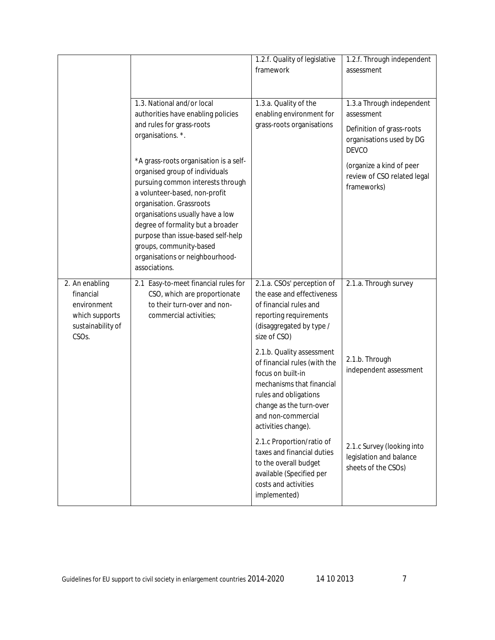|                                                                                                         |                                                                                                                                                                                                                                                                                                                                                                                                                                                                                                | 1.2.f. Quality of legislative<br>framework                                                                                                                                                                   | 1.2.f. Through independent<br>assessment                                                                                                                                                   |
|---------------------------------------------------------------------------------------------------------|------------------------------------------------------------------------------------------------------------------------------------------------------------------------------------------------------------------------------------------------------------------------------------------------------------------------------------------------------------------------------------------------------------------------------------------------------------------------------------------------|--------------------------------------------------------------------------------------------------------------------------------------------------------------------------------------------------------------|--------------------------------------------------------------------------------------------------------------------------------------------------------------------------------------------|
|                                                                                                         | 1.3. National and/or local<br>authorities have enabling policies<br>and rules for grass-roots<br>organisations. *.<br>*A grass-roots organisation is a self-<br>organised group of individuals<br>pursuing common interests through<br>a volunteer-based, non-profit<br>organisation. Grassroots<br>organisations usually have a low<br>degree of formality but a broader<br>purpose than issue-based self-help<br>groups, community-based<br>organisations or neighbourhood-<br>associations. | 1.3.a. Quality of the<br>enabling environment for<br>grass-roots organisations                                                                                                                               | 1.3.a Through independent<br>assessment<br>Definition of grass-roots<br>organisations used by DG<br><b>DEVCO</b><br>(organize a kind of peer<br>review of CSO related legal<br>frameworks) |
| 2. An enabling<br>financial<br>environment<br>which supports<br>sustainability of<br>CSO <sub>s</sub> . | 2.1 Easy-to-meet financial rules for<br>CSO, which are proportionate<br>to their turn-over and non-<br>commercial activities;                                                                                                                                                                                                                                                                                                                                                                  | 2.1.a. CSOs' perception of<br>the ease and effectiveness<br>of financial rules and<br>reporting requirements<br>(disaggregated by type /<br>size of CSO)                                                     | 2.1.a. Through survey                                                                                                                                                                      |
|                                                                                                         |                                                                                                                                                                                                                                                                                                                                                                                                                                                                                                | 2.1.b. Quality assessment<br>of financial rules (with the<br>focus on built-in<br>mechanisms that financial<br>rules and obligations<br>change as the turn-over<br>and non-commercial<br>activities change). | 2.1.b. Through<br>independent assessment                                                                                                                                                   |
|                                                                                                         |                                                                                                                                                                                                                                                                                                                                                                                                                                                                                                | 2.1.c Proportion/ratio of<br>taxes and financial duties<br>to the overall budget<br>available (Specified per<br>costs and activities<br>implemented)                                                         | 2.1.c Survey (looking into<br>legislation and balance<br>sheets of the CSOs)                                                                                                               |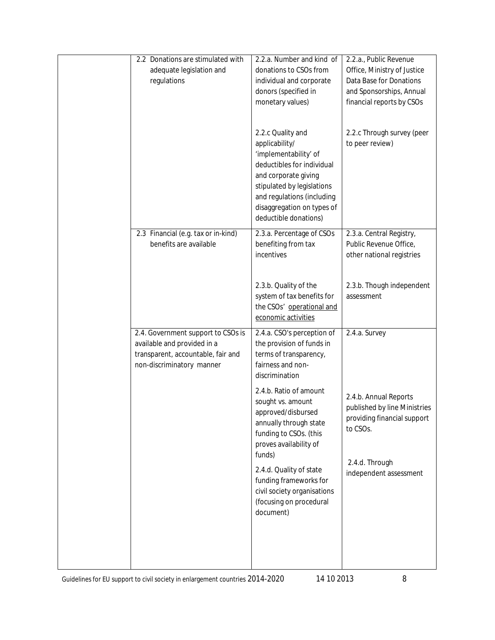| 2.2 Donations are stimulated with<br>adequate legislation and<br>regulations                                                         | 2.2.a. Number and kind of<br>donations to CSOs from<br>individual and corporate<br>donors (specified in<br>monetary values)<br>2.2.c Quality and<br>applicability/<br>'implementability' of<br>deductibles for individual<br>and corporate giving | 2.2.a., Public Revenue<br>Office, Ministry of Justice<br>Data Base for Donations<br>and Sponsorships, Annual<br>financial reports by CSOs<br>2.2.c Through survey (peer<br>to peer review) |
|--------------------------------------------------------------------------------------------------------------------------------------|---------------------------------------------------------------------------------------------------------------------------------------------------------------------------------------------------------------------------------------------------|--------------------------------------------------------------------------------------------------------------------------------------------------------------------------------------------|
|                                                                                                                                      | stipulated by legislations<br>and regulations (including<br>disaggregation on types of<br>deductible donations)                                                                                                                                   |                                                                                                                                                                                            |
| 2.3 Financial (e.g. tax or in-kind)<br>benefits are available                                                                        | 2.3.a. Percentage of CSOs<br>benefiting from tax<br>incentives                                                                                                                                                                                    | 2.3.a. Central Registry,<br>Public Revenue Office,<br>other national registries                                                                                                            |
|                                                                                                                                      | 2.3.b. Quality of the<br>system of tax benefits for<br>the CSOs' operational and<br>economic activities                                                                                                                                           | 2.3.b. Though independent<br>assessment                                                                                                                                                    |
| 2.4. Government support to CSOs is<br>available and provided in a<br>transparent, accountable, fair and<br>non-discriminatory manner | 2.4.a. CSO's perception of<br>the provision of funds in<br>terms of transparency,<br>fairness and non-<br>discrimination                                                                                                                          | 2.4.a. Survey                                                                                                                                                                              |
|                                                                                                                                      | 2.4.b. Ratio of amount<br>sought vs. amount<br>approved/disbursed<br>annually through state<br>funding to CSOs. (this<br>proves availability of<br>funds)                                                                                         | 2.4.b. Annual Reports<br>published by line Ministries<br>providing financial support<br>to CSOs.<br>2.4.d. Through                                                                         |
|                                                                                                                                      | 2.4.d. Quality of state<br>funding frameworks for<br>civil society organisations<br>(focusing on procedural<br>document)                                                                                                                          | independent assessment                                                                                                                                                                     |
|                                                                                                                                      |                                                                                                                                                                                                                                                   |                                                                                                                                                                                            |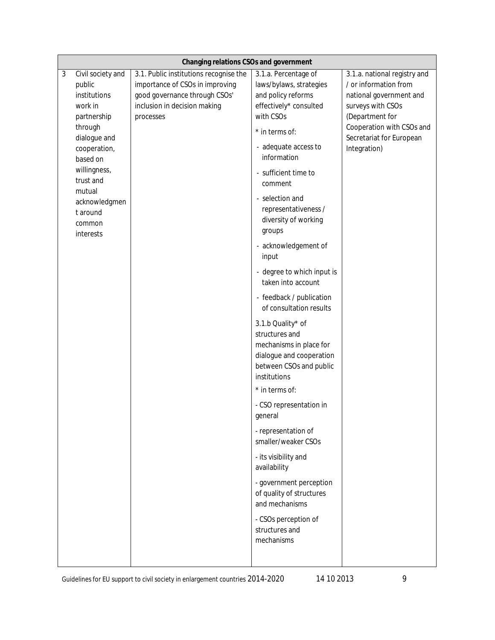|   | Changing relations CSOs and government |                                        |                                              |                                                       |
|---|----------------------------------------|----------------------------------------|----------------------------------------------|-------------------------------------------------------|
| 3 | Civil society and                      | 3.1. Public institutions recognise the | 3.1.a. Percentage of                         | 3.1.a. national registry and                          |
|   | public                                 | importance of CSOs in improving        | laws/bylaws, strategies                      | / or information from                                 |
|   | institutions                           | good governance through CSOs'          | and policy reforms                           | national government and                               |
|   | work in                                | inclusion in decision making           | effectively* consulted                       | surveys with CSOs                                     |
|   | partnership                            | processes                              | with CSOs                                    | (Department for                                       |
|   | through<br>dialogue and                |                                        | * in terms of:                               | Cooperation with CSOs and<br>Secretariat for European |
|   | cooperation,                           |                                        | - adequate access to                         | Integration)                                          |
|   | based on                               |                                        | information                                  |                                                       |
|   | willingness,                           |                                        | - sufficient time to                         |                                                       |
|   | trust and                              |                                        | comment                                      |                                                       |
|   | mutual                                 |                                        |                                              |                                                       |
|   | acknowledgmen                          |                                        | - selection and                              |                                                       |
|   | t around                               |                                        | representativeness /<br>diversity of working |                                                       |
|   | common                                 |                                        | groups                                       |                                                       |
|   | interests                              |                                        |                                              |                                                       |
|   |                                        |                                        | - acknowledgement of                         |                                                       |
|   |                                        |                                        | input                                        |                                                       |
|   |                                        |                                        | - degree to which input is                   |                                                       |
|   |                                        |                                        | taken into account                           |                                                       |
|   |                                        |                                        | - feedback / publication                     |                                                       |
|   |                                        |                                        | of consultation results                      |                                                       |
|   |                                        |                                        | 3.1.b Quality* of                            |                                                       |
|   |                                        |                                        | structures and                               |                                                       |
|   |                                        |                                        | mechanisms in place for                      |                                                       |
|   |                                        |                                        | dialogue and cooperation                     |                                                       |
|   |                                        |                                        | between CSOs and public                      |                                                       |
|   |                                        |                                        | institutions                                 |                                                       |
|   |                                        |                                        | * in terms of:                               |                                                       |
|   |                                        |                                        | - CSO representation in                      |                                                       |
|   |                                        |                                        | general                                      |                                                       |
|   |                                        |                                        | - representation of                          |                                                       |
|   |                                        |                                        | smaller/weaker CSOs                          |                                                       |
|   |                                        |                                        | - its visibility and                         |                                                       |
|   |                                        |                                        | availability                                 |                                                       |
|   |                                        |                                        | - government perception                      |                                                       |
|   |                                        |                                        | of quality of structures                     |                                                       |
|   |                                        |                                        | and mechanisms                               |                                                       |
|   |                                        |                                        |                                              |                                                       |
|   |                                        |                                        | - CSOs perception of<br>structures and       |                                                       |
|   |                                        |                                        | mechanisms                                   |                                                       |
|   |                                        |                                        |                                              |                                                       |
|   |                                        |                                        |                                              |                                                       |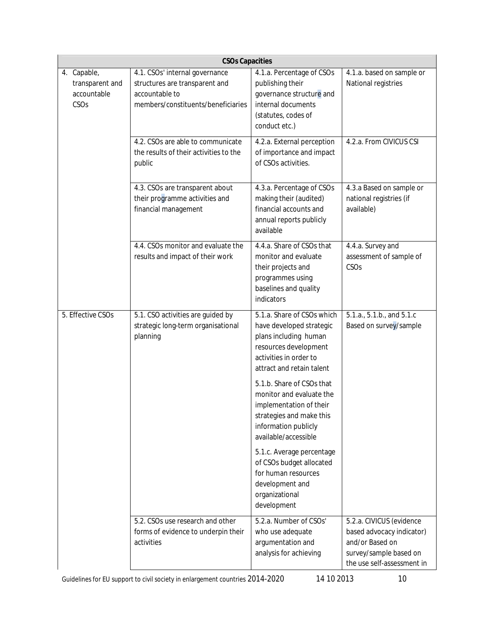| <b>CSOs Capacities</b>                                |                                                                                                                          |                                                                                                                                                                                                                          |                                                                                                                                  |
|-------------------------------------------------------|--------------------------------------------------------------------------------------------------------------------------|--------------------------------------------------------------------------------------------------------------------------------------------------------------------------------------------------------------------------|----------------------------------------------------------------------------------------------------------------------------------|
| 4. Capable,<br>transparent and<br>accountable<br>CSOs | 4.1. CSOs' internal governance<br>structures are transparent and<br>accountable to<br>members/constituents/beneficiaries | 4.1.a. Percentage of CSOs<br>publishing their<br>governance structure and<br>internal documents<br>(statutes, codes of<br>conduct etc.)                                                                                  | 4.1.a. based on sample or<br>National registries                                                                                 |
|                                                       | 4.2. CSOs are able to communicate<br>the results of their activities to the<br>public                                    | 4.2.a. External perception<br>of importance and impact<br>of CSOs activities.                                                                                                                                            | 4.2.a. From CIVICUS CSI                                                                                                          |
|                                                       | 4.3. CSOs are transparent about<br>their programme activities and<br>financial management                                | 4.3.a. Percentage of CSOs<br>making their (audited)<br>financial accounts and<br>annual reports publicly<br>available                                                                                                    | 4.3.a Based on sample or<br>national registries (if<br>available)                                                                |
|                                                       | 4.4. CSOs monitor and evaluate the<br>results and impact of their work                                                   | 4.4.a. Share of CSOs that<br>monitor and evaluate<br>their projects and<br>programmes using<br>baselines and quality<br>indicators                                                                                       | 4.4.a. Survey and<br>assessment of sample of<br>CSO <sub>S</sub>                                                                 |
| 5. Effective CSOs                                     | 5.1. CSO activities are guided by<br>strategic long-term organisational<br>planning                                      | 5.1.a. Share of CSOs which<br>have developed strategic<br>plans including human<br>resources development<br>activities in order to<br>attract and retain talent<br>5.1.b. Share of CSOs that<br>monitor and evaluate the | 5.1.a., 5.1.b., and 5.1.c<br>Based on survey/sample                                                                              |
|                                                       |                                                                                                                          | implementation of their<br>strategies and make this<br>information publicly<br>available/accessible                                                                                                                      |                                                                                                                                  |
|                                                       |                                                                                                                          | 5.1.c. Average percentage<br>of CSOs budget allocated<br>for human resources<br>development and<br>organizational<br>development                                                                                         |                                                                                                                                  |
|                                                       | 5.2. CSOs use research and other<br>forms of evidence to underpin their<br>activities                                    | 5.2.a. Number of CSOs'<br>who use adequate<br>argumentation and<br>analysis for achieving                                                                                                                                | 5.2.a. CIVICUS (evidence<br>based advocacy indicator)<br>and/or Based on<br>survey/sample based on<br>the use self-assessment in |

Guidelines for EU support to civil society in enlargement countries 2014-2020 14 10 2013